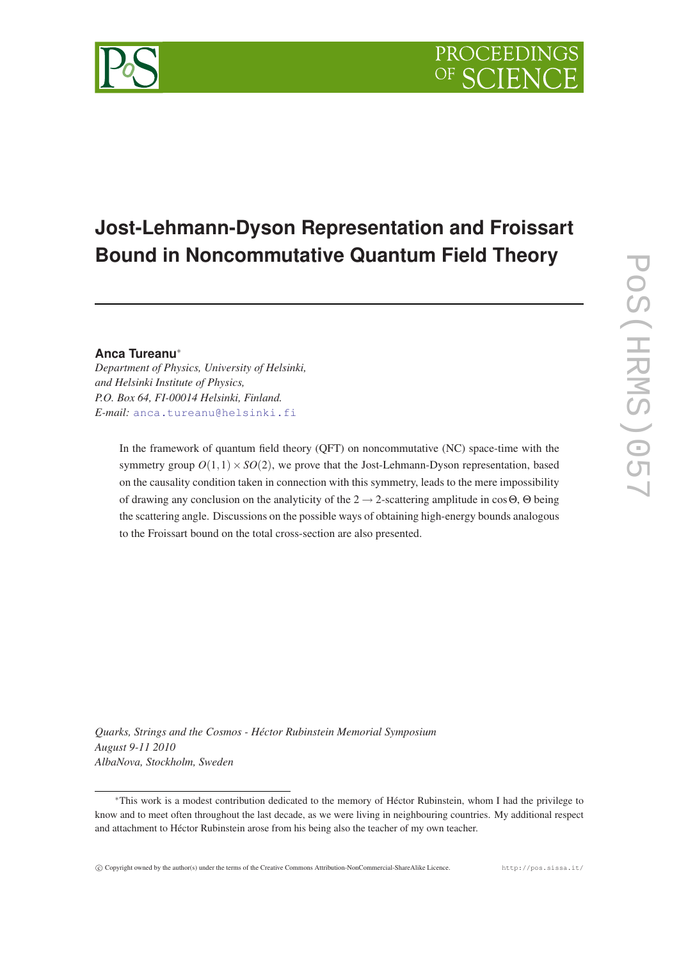# **Jost-Lehmann-Dyson Representation and Froissart Bound in Noncommutative Quantum Field Theory**

## **Anca Tureanu**<sup>∗</sup>

*Department of Physics, University of Helsinki, and Helsinki Institute of Physics, P.O. Box 64, FI-00014 Helsinki, Finland. E-mail:* [anca.tureanu@helsinki.fi](mailto:anca.tureanu@helsinki.fi)

> In the framework of quantum field theory (QFT) on noncommutative (NC) space-time with the symmetry group  $O(1,1) \times SO(2)$ , we prove that the Jost-Lehmann-Dyson representation, based on the causality condition taken in connection with this symmetry, leads to the mere impossibility of drawing any conclusion on the analyticity of the  $2 \rightarrow 2$ -scattering amplitude in cos $\Theta$ ,  $\Theta$  being the scattering angle. Discussions on the possible ways of obtaining high-energy bounds analogous to the Froissart bound on the total cross-section are also presented.

*Quarks, Strings and the Cosmos - Héctor Rubinstein Memorial Symposium August 9-11 2010 AlbaNova, Stockholm, Sweden*



<sup>∗</sup>This work is a modest contribution dedicated to the memory of Héctor Rubinstein, whom I had the privilege to know and to meet often throughout the last decade, as we were living in neighbouring countries. My additional respect and attachment to Héctor Rubinstein arose from his being also the teacher of my own teacher.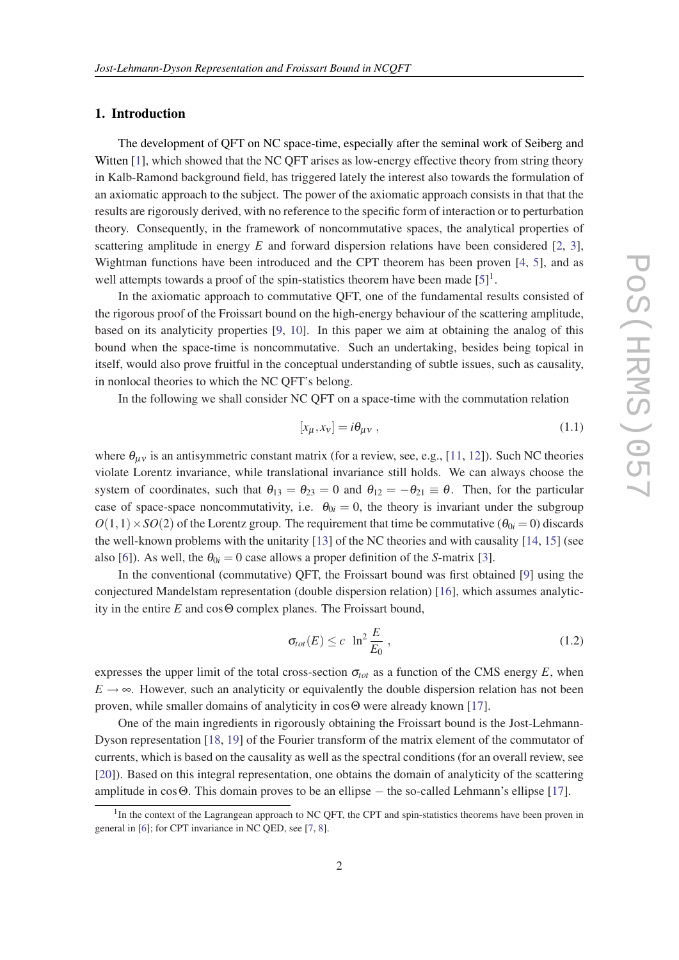## <span id="page-1-0"></span>1. Introduction

The development of QFT on NC space-time, especially after the seminal work of Seiberg and Witten [[1](#page-12-0)], which showed that the NC QFT arises as low-energy effective theory from string theory in Kalb-Ramond background field, has triggered lately the interest also towards the formulation of an axiomatic approach to the subject. The power of the axiomatic approach consists in that that the results are rigorously derived, with no reference to the specific form of interaction or to perturbation theory. Consequently, in the framework of noncommutative spaces, the analytical properties of scattering amplitude in energy *E* and forward dispersion relations have been considered [[2](#page-12-0), [3\]](#page-12-0), Wightman functions have been introduced and the CPT theorem has been proven [[4](#page-12-0), [5\]](#page-12-0), and as well attempts towards a proof of the spin-statistics theorem have been made  $[5]$ <sup>1</sup>.

In the axiomatic approach to commutative QFT, one of the fundamental results consisted of the rigorous proof of the Froissart bound on the high-energy behaviour of the scattering amplitude, based on its analyticity properties [\[9,](#page-12-0) [10](#page-12-0)]. In this paper we aim at obtaining the analog of this bound when the space-time is noncommutative. Such an undertaking, besides being topical in itself, would also prove fruitful in the conceptual understanding of subtle issues, such as causality, in nonlocal theories to which the NC QFT's belong.

In the following we shall consider NC QFT on a space-time with the commutation relation

$$
[x_{\mu}, x_{\nu}] = i\theta_{\mu\nu} \tag{1.1}
$$

where  $\theta_{\mu\nu}$  is an antisymmetric constant matrix (for a review, see, e.g., [[11](#page-12-0), [12\]](#page-12-0)). Such NC theories violate Lorentz invariance, while translational invariance still holds. We can always choose the system of coordinates, such that  $\theta_{13} = \theta_{23} = 0$  and  $\theta_{12} = -\theta_{21} \equiv \theta$ . Then, for the particular case of space-space noncommutativity, i.e.  $\theta_{0i} = 0$ , the theory is invariant under the subgroup  $O(1,1) \times SO(2)$  of the Lorentz group. The requirement that time be commutative ( $\theta_{0i} = 0$ ) discards the well-known problems with the unitarity [\[13](#page-13-0)] of the NC theories and with causality [\[14](#page-13-0), [15](#page-13-0)] (see also [\[6\]](#page-12-0)). As well, the  $\theta_{0i} = 0$  case allows a proper definition of the *S*-matrix [[3](#page-12-0)].

In the conventional (commutative) QFT, the Froissart bound was first obtained [\[9\]](#page-12-0) using the conjectured Mandelstam representation (double dispersion relation) [\[16](#page-13-0)], which assumes analyticity in the entire *E* and cosΘ complex planes. The Froissart bound,

$$
\sigma_{tot}(E) \le c \ \ln^2 \frac{E}{E_0} \,, \tag{1.2}
$$

expresses the upper limit of the total cross-section  $\sigma_{tot}$  as a function of the CMS energy *E*, when  $E \rightarrow \infty$ . However, such an analyticity or equivalently the double dispersion relation has not been proven, while smaller domains of analyticity in cosΘ were already known [\[17](#page-13-0)].

One of the main ingredients in rigorously obtaining the Froissart bound is the Jost-Lehmann-Dyson representation [[18,](#page-13-0) [19\]](#page-13-0) of the Fourier transform of the matrix element of the commutator of currents, which is based on the causality as well as the spectral conditions (for an overall review, see [[20\]](#page-13-0)). Based on this integral representation, one obtains the domain of analyticity of the scattering amplitude in cosΘ. This domain proves to be an ellipse − the so-called Lehmann's ellipse [[17\]](#page-13-0).

<sup>&</sup>lt;sup>1</sup>In the context of the Lagrangean approach to NC QFT, the CPT and spin-statistics theorems have been proven in general in [\[6\]](#page-12-0); for CPT invariance in NC QED, see [\[7,](#page-12-0) [8\]](#page-12-0).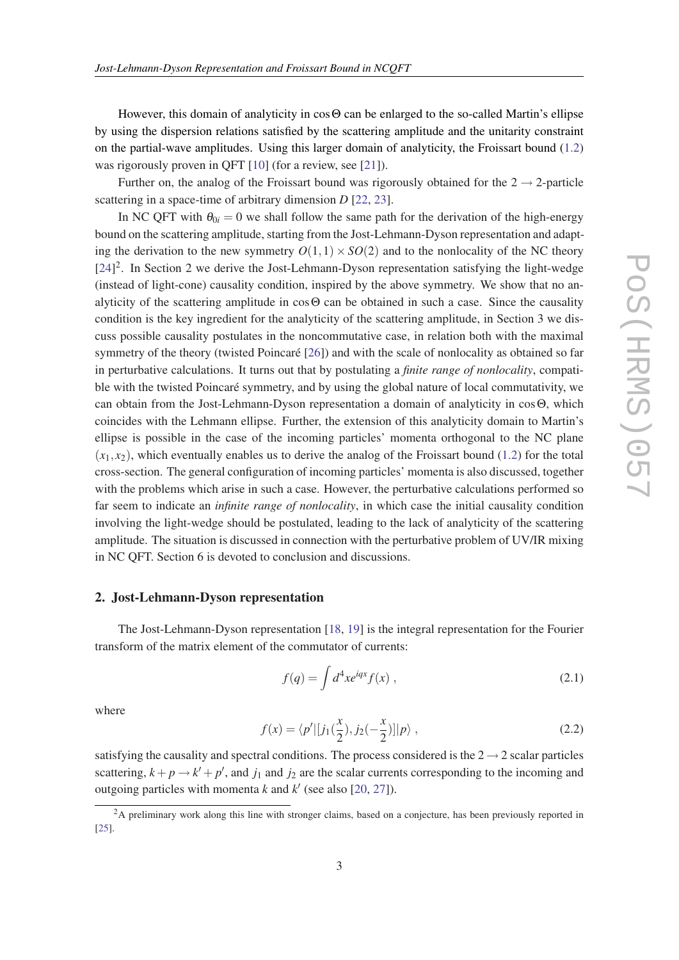<span id="page-2-0"></span>However, this domain of analyticity in cosΘ can be enlarged to the so-called Martin's ellipse by using the dispersion relations satisfied by the scattering amplitude and the unitarity constraint on the partial-wave amplitudes. Using this larger domain of analyticity, the Froissart bound ([1.2](#page-1-0)) was rigorously proven in QFT [\[10](#page-12-0)] (for a review, see [\[21](#page-13-0)]).

Further on, the analog of the Froissart bound was rigorously obtained for the  $2 \rightarrow 2$ -particle scattering in a space-time of arbitrary dimension *D* [[22,](#page-13-0) [23](#page-13-0)].

In NC QFT with  $\theta_{0i} = 0$  we shall follow the same path for the derivation of the high-energy bound on the scattering amplitude, starting from the Jost-Lehmann-Dyson representation and adapting the derivation to the new symmetry  $O(1,1) \times SO(2)$  and to the nonlocality of the NC theory [[24\]](#page-13-0)<sup>2</sup>. In Section 2 we derive the Jost-Lehmann-Dyson representation satisfying the light-wedge (instead of light-cone) causality condition, inspired by the above symmetry. We show that no analyticity of the scattering amplitude in cosΘ can be obtained in such a case. Since the causality condition is the key ingredient for the analyticity of the scattering amplitude, in Section 3 we discuss possible causality postulates in the noncommutative case, in relation both with the maximal symmetry of the theory (twisted Poincaré [\[26](#page-13-0)]) and with the scale of nonlocality as obtained so far in perturbative calculations. It turns out that by postulating a *finite range of nonlocality*, compatible with the twisted Poincaré symmetry, and by using the global nature of local commutativity, we can obtain from the Jost-Lehmann-Dyson representation a domain of analyticity in cosΘ, which coincides with the Lehmann ellipse. Further, the extension of this analyticity domain to Martin's ellipse is possible in the case of the incoming particles' momenta orthogonal to the NC plane  $(x_1, x_2)$ , which eventually enables us to derive the analog of the Froissart bound [\(1.2\)](#page-1-0) for the total cross-section. The general configuration of incoming particles' momenta is also discussed, together with the problems which arise in such a case. However, the perturbative calculations performed so far seem to indicate an *infinite range of nonlocality*, in which case the initial causality condition involving the light-wedge should be postulated, leading to the lack of analyticity of the scattering amplitude. The situation is discussed in connection with the perturbative problem of UV/IR mixing in NC QFT. Section 6 is devoted to conclusion and discussions.

### 2. Jost-Lehmann-Dyson representation

The Jost-Lehmann-Dyson representation [\[18](#page-13-0), [19\]](#page-13-0) is the integral representation for the Fourier transform of the matrix element of the commutator of currents:

$$
f(q) = \int d^4x e^{iqx} f(x) , \qquad (2.1)
$$

where

$$
f(x) = \langle p' | [j_1(\frac{x}{2}), j_2(-\frac{x}{2})] | p \rangle , \qquad (2.2)
$$

satisfying the causality and spectral conditions. The process considered is the  $2 \rightarrow 2$  scalar particles scattering,  $k + p \rightarrow k' + p'$ , and  $j_1$  and  $j_2$  are the scalar currents corresponding to the incoming and outgoing particles with momenta  $k$  and  $k'$  (see also [[20,](#page-13-0) [27](#page-13-0)]).

<sup>&</sup>lt;sup>2</sup>A preliminary work along this line with stronger claims, based on a conjecture, has been previously reported in [\[25](#page-13-0)].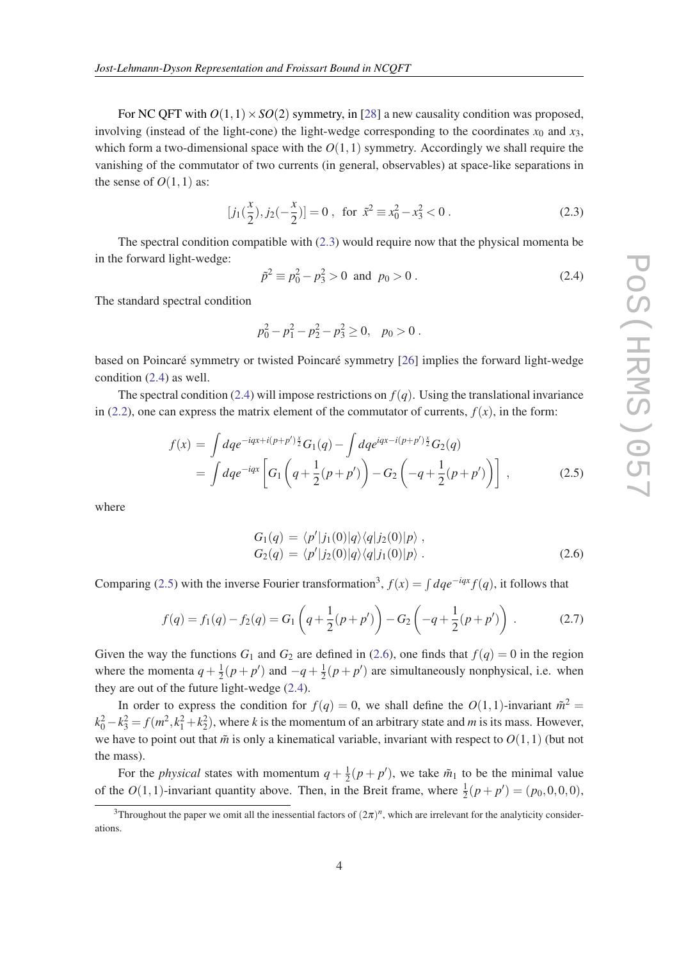<span id="page-3-0"></span>For NC QFT with  $O(1,1) \times SO(2)$  symmetry, in [[28\]](#page-13-0) a new causality condition was proposed, involving (instead of the light-cone) the light-wedge corresponding to the coordinates  $x_0$  and  $x_3$ , which form a two-dimensional space with the  $O(1,1)$  symmetry. Accordingly we shall require the vanishing of the commutator of two currents (in general, observables) at space-like separations in the sense of  $O(1,1)$  as:

$$
[j_1(\frac{x}{2}), j_2(-\frac{x}{2})] = 0, \text{ for } \tilde{x}^2 \equiv x_0^2 - x_3^2 < 0.
$$
 (2.3)

The spectral condition compatible with (2.3) would require now that the physical momenta be in the forward light-wedge:

$$
\tilde{p}^2 \equiv p_0^2 - p_3^2 > 0 \text{ and } p_0 > 0.
$$
 (2.4)

The standard spectral condition

$$
p_0^2 - p_1^2 - p_2^2 - p_3^2 \ge 0, \quad p_0 > 0.
$$

based on Poincaré symmetry or twisted Poincaré symmetry [[26](#page-13-0)] implies the forward light-wedge condition (2.4) as well.

The spectral condition (2.4) will impose restrictions on  $f(q)$ . Using the translational invariance in [\(2.2\)](#page-2-0), one can express the matrix element of the commutator of currents,  $f(x)$ , in the form:

$$
f(x) = \int dq e^{-iqx+i(p+p')\frac{x}{2}} G_1(q) - \int dq e^{iqx-i(p+p')\frac{x}{2}} G_2(q)
$$
  
= 
$$
\int dq e^{-iqx} \left[ G_1 \left( q + \frac{1}{2}(p+p') \right) - G_2 \left( -q + \frac{1}{2}(p+p') \right) \right],
$$
 (2.5)

where

$$
G_1(q) = \langle p'|j_1(0)|q\rangle\langle q|j_2(0)|p\rangle ,G_2(q) = \langle p'|j_2(0)|q\rangle\langle q|j_1(0)|p\rangle .
$$
\n(2.6)

Comparing (2.5) with the inverse Fourier transformation<sup>3</sup>,  $f(x) = \int dq e^{-iqx} f(q)$ , it follows that

$$
f(q) = f_1(q) - f_2(q) = G_1\left(q + \frac{1}{2}(p + p')\right) - G_2\left(-q + \frac{1}{2}(p + p')\right).
$$
 (2.7)

Given the way the functions  $G_1$  and  $G_2$  are defined in (2.6), one finds that  $f(q) = 0$  in the region where the momenta  $q + \frac{1}{2}$  $\frac{1}{2}(p+p')$  and  $-q+\frac{1}{2}$  $\frac{1}{2}(p+p')$  are simultaneously nonphysical, i.e. when they are out of the future light-wedge (2.4).

In order to express the condition for  $f(q) = 0$ , we shall define the  $O(1,1)$ -invariant  $\tilde{m}^2 =$  $k_0^2 - k_3^2 = f(m^2, k_1^2 + k_2^2)$ , where *k* is the momentum of an arbitrary state and *m* is its mass. However, we have to point out that  $\tilde{m}$  is only a kinematical variable, invariant with respect to  $O(1,1)$  (but not the mass).

For the *physical* states with momentum  $q + \frac{1}{2}$  $\frac{1}{2}(p+p')$ , we take  $\tilde{m}_1$  to be the minimal value of the  $O(1, 1)$ -invariant quantity above. Then, in the Breit frame, where  $\frac{1}{2}(p + p') = (p_0, 0, 0, 0)$ ,

<sup>&</sup>lt;sup>3</sup>Throughout the paper we omit all the inessential factors of  $(2\pi)^n$ , which are irrelevant for the analyticity considerations.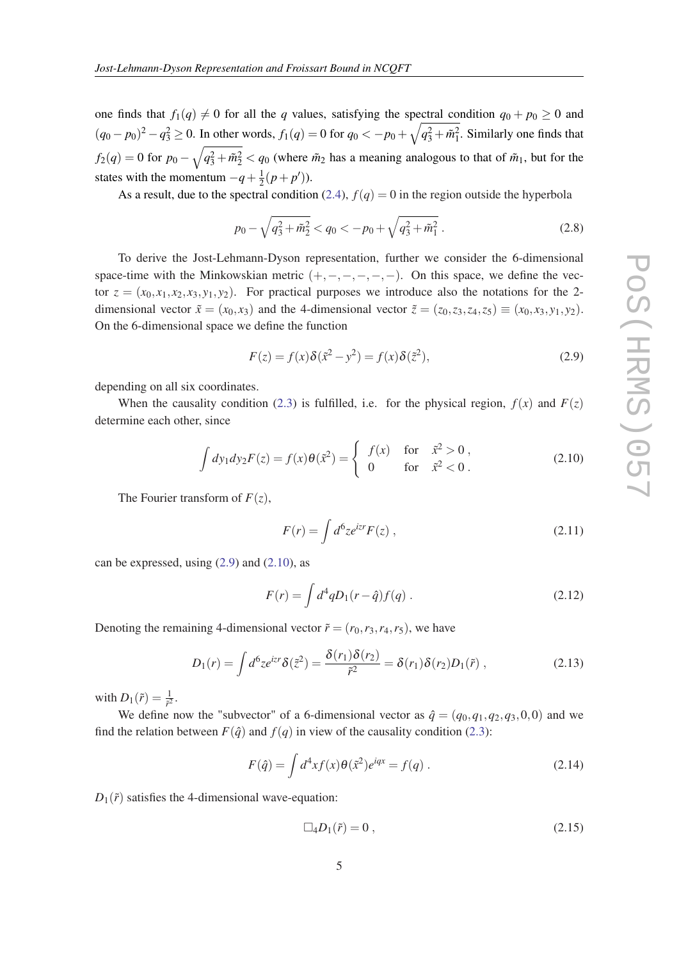<span id="page-4-0"></span>one finds that  $f_1(q) \neq 0$  for all the *q* values, satisfying the spectral condition  $q_0 + p_0 \geq 0$  and  $(q_0 - p_0)^2 - q_3^2 \ge 0$ . In other words,  $f_1(q) = 0$  for  $q_0 < -p_0 + \sqrt{q_3^2 + \tilde{m}_1^2}$ . Similarly one finds that  $f_2(q) = 0$  for  $p_0 - \sqrt{q_3^2 + \tilde{m}_2^2} < q_0$  (where  $\tilde{m}_2$  has a meaning analogous to that of  $\tilde{m}_1$ , but for the states with the momentum  $-q+\frac{1}{2}$  $\frac{1}{2}(p+p')$ ).

As a result, due to the spectral condition ([2.4](#page-3-0)),  $f(q) = 0$  in the region outside the hyperbola

$$
p_0 - \sqrt{q_3^2 + \tilde{m}_2^2} < q_0 < -p_0 + \sqrt{q_3^2 + \tilde{m}_1^2} \,. \tag{2.8}
$$

To derive the Jost-Lehmann-Dyson representation, further we consider the 6-dimensional space-time with the Minkowskian metric  $(+,-,-,-,-,-)$ . On this space, we define the vector  $z = (x_0, x_1, x_2, x_3, y_1, y_2)$ . For practical purposes we introduce also the notations for the 2dimensional vector  $\tilde{x} = (x_0, x_3)$  and the 4-dimensional vector  $\tilde{z} = (z_0, z_3, z_4, z_5) \equiv (x_0, x_3, y_1, y_2)$ . On the 6-dimensional space we define the function

$$
F(z) = f(x)\delta(\tilde{x}^2 - y^2) = f(x)\delta(\tilde{z}^2),
$$
\n(2.9)

depending on all six coordinates.

When the causality condition [\(2.3\)](#page-3-0) is fulfilled, i.e. for the physical region,  $f(x)$  and  $F(z)$ determine each other, since

$$
\int dy_1 dy_2 F(z) = f(x)\theta(\tilde{x}^2) = \begin{cases} f(x) & \text{for } \tilde{x}^2 > 0, \\ 0 & \text{for } \tilde{x}^2 < 0. \end{cases}
$$
 (2.10)

The Fourier transform of  $F(z)$ ,

$$
F(r) = \int d^6 z e^{izr} F(z) , \qquad (2.11)
$$

can be expressed, using  $(2.9)$  and  $(2.10)$ , as

$$
F(r) = \int d^4q D_1(r - \hat{q}) f(q) . \qquad (2.12)
$$

Denoting the remaining 4-dimensional vector  $\tilde{r} = (r_0, r_3, r_4, r_5)$ , we have

$$
D_1(r) = \int d^6 z e^{izr} \delta(\tilde{z}^2) = \frac{\delta(r_1)\delta(r_2)}{\tilde{r}^2} = \delta(r_1)\delta(r_2)D_1(\tilde{r}), \qquad (2.13)
$$

with  $D_1(\tilde{r}) = \frac{1}{\tilde{r}^2}$ .

We define now the "subvector" of a 6-dimensional vector as  $\hat{q} = (q_0, q_1, q_2, q_3, 0, 0)$  and we find the relation between  $F(\hat{q})$  and  $f(q)$  in view of the causality condition ([2.3](#page-3-0)):

$$
F(\hat{q}) = \int d^4x f(x)\theta(\tilde{x}^2)e^{iqx} = f(q).
$$
 (2.14)

 $D_1(\tilde{r})$  satisfies the 4-dimensional wave-equation:

$$
\Box_4 D_1(\tilde{r}) = 0 \tag{2.15}
$$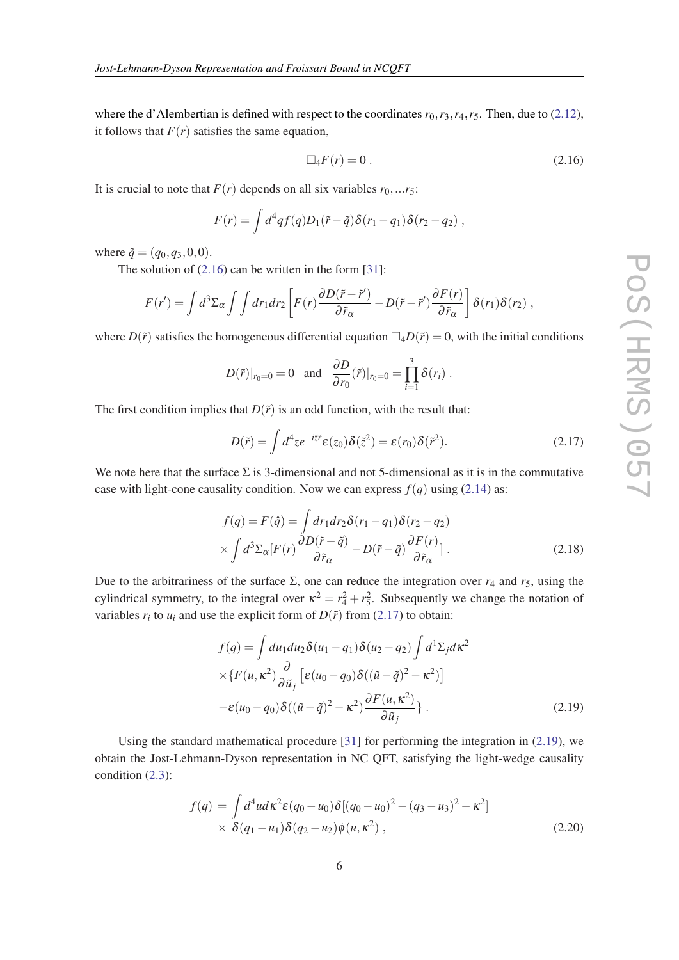<span id="page-5-0"></span>where the d'Alembertian is defined with respect to the coordinates  $r_0, r_3, r_4, r_5$ . Then, due to [\(2.12\)](#page-4-0), it follows that  $F(r)$  satisfies the same equation,

$$
\Box_4 F(r) = 0. \tag{2.16}
$$

It is crucial to note that  $F(r)$  depends on all six variables  $r_0, \ldots r_5$ :

$$
F(r) = \int d^4q f(q) D_1(\tilde{r} - \tilde{q}) \delta(r_1 - q_1) \delta(r_2 - q_2) ,
$$

where  $\tilde{q} = (q_0, q_3, 0, 0)$ .

The solution of  $(2.16)$  can be written in the form  $[31]$  $[31]$  $[31]$ :

$$
F(r') = \int d^3 \Sigma_{\alpha} \int \int dr_1 dr_2 \left[ F(r) \frac{\partial D(\tilde{r} - \tilde{r}')}{\partial \tilde{r}_{\alpha}} - D(\tilde{r} - \tilde{r}') \frac{\partial F(r)}{\partial \tilde{r}_{\alpha}} \right] \delta(r_1) \delta(r_2) ,
$$

where  $D(\tilde{r})$  satisfies the homogeneous differential equation  $\Box_4 D(\tilde{r}) = 0$ , with the initial conditions

$$
D(\tilde{r})|_{r_0=0}=0 \text{ and } \frac{\partial D}{\partial r_0}(\tilde{r})|_{r_0=0}=\prod_{i=1}^3 \delta(r_i).
$$

The first condition implies that  $D(\tilde{r})$  is an odd function, with the result that:

$$
D(\tilde{r}) = \int d^4 z e^{-i\tilde{z}\tilde{r}} \varepsilon(z_0) \delta(\tilde{z}^2) = \varepsilon(r_0) \delta(\tilde{r}^2).
$$
 (2.17)

We note here that the surface  $\Sigma$  is 3-dimensional and not 5-dimensional as it is in the commutative case with light-cone causality condition. Now we can express  $f(q)$  using ([2.14](#page-4-0)) as:

$$
f(q) = F(\hat{q}) = \int dr_1 dr_2 \delta(r_1 - q_1) \delta(r_2 - q_2)
$$
  
 
$$
\times \int d^3 \Sigma_{\alpha} [F(r) \frac{\partial D(\tilde{r} - \tilde{q})}{\partial \tilde{r}_{\alpha}} - D(\tilde{r} - \tilde{q}) \frac{\partial F(r)}{\partial \tilde{r}_{\alpha}}].
$$
 (2.18)

Due to the arbitrariness of the surface Σ, one can reduce the integration over  $r_4$  and  $r_5$ , using the cylindrical symmetry, to the integral over  $\kappa^2 = r_4^2 + r_5^2$ . Subsequently we change the notation of variables  $r_i$  to  $u_i$  and use the explicit form of  $D(\tilde{r})$  from (2.17) to obtain:

$$
f(q) = \int du_1 du_2 \delta(u_1 - q_1) \delta(u_2 - q_2) \int d^1 \Sigma_j d\kappa^2
$$
  
 
$$
\times \{F(u, \kappa^2) \frac{\partial}{\partial \tilde{u}_j} \left[ \varepsilon(u_0 - q_0) \delta((\tilde{u} - \tilde{q})^2 - \kappa^2) \right]
$$
  
-
$$
\varepsilon(u_0 - q_0) \delta((\tilde{u} - \tilde{q})^2 - \kappa^2) \frac{\partial F(u, \kappa^2)}{\partial \tilde{u}_j} \}.
$$
 (2.19)

Using the standard mathematical procedure  $[31]$  $[31]$  for performing the integration in (2.19), we obtain the Jost-Lehmann-Dyson representation in NC QFT, satisfying the light-wedge causality condition ([2.3\)](#page-3-0):

$$
f(q) = \int d^4u d\kappa^2 \varepsilon (q_0 - u_0) \delta [(q_0 - u_0)^2 - (q_3 - u_3)^2 - \kappa^2] \times \delta (q_1 - u_1) \delta (q_2 - u_2) \phi (u, \kappa^2) ,
$$
\n(2.20)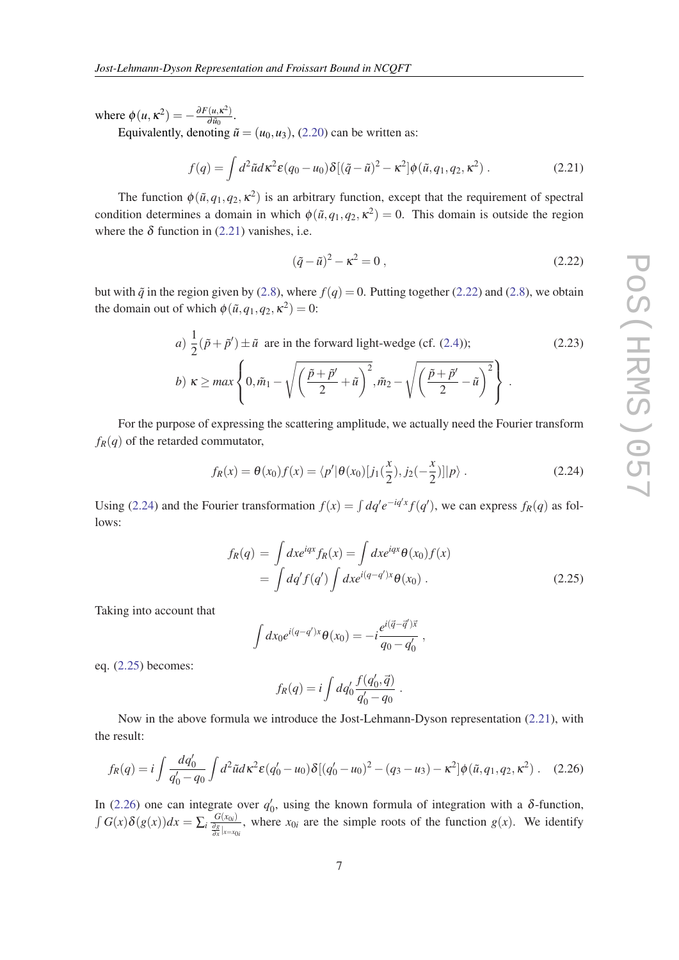<span id="page-6-0"></span>where  $\phi(u, \kappa^2) = -\frac{\partial F(u, \kappa^2)}{\partial \tilde{u}_0}$  $rac{(u,\kappa^-)}{\partial \tilde{u}_0}$ .

Equivalently, denoting  $\tilde{u} = (u_0, u_3)$ , ([2.20](#page-5-0)) can be written as:

$$
f(q) = \int d^2 \tilde{u} d\kappa^2 \varepsilon (q_0 - u_0) \delta [(\tilde{q} - \tilde{u})^2 - \kappa^2] \phi(\tilde{u}, q_1, q_2, \kappa^2) . \tag{2.21}
$$

The function  $\phi(\tilde{u}, q_1, q_2, \kappa^2)$  is an arbitrary function, except that the requirement of spectral condition determines a domain in which  $\phi(\tilde{u}, q_1, q_2, \kappa^2) = 0$ . This domain is outside the region where the  $\delta$  function in (2.21) vanishes, i.e.

$$
(\tilde{q} - \tilde{u})^2 - \kappa^2 = 0, \qquad (2.22)
$$

but with  $\tilde{q}$  in the region given by ([2.8](#page-4-0)), where  $f(q) = 0$ . Putting together (2.22) and [\(2.8\)](#page-4-0), we obtain the domain out of which  $\phi(\tilde{u}, q_1, q_2, \kappa^2) = 0$ :

a) 
$$
\frac{1}{2}(\tilde{p} + \tilde{p}') \pm \tilde{u}
$$
 are in the forward light-wedge (cf. (2.4));  
\nb)  $\kappa \ge \max \left\{ 0, \tilde{m}_1 - \sqrt{\left(\frac{\tilde{p} + \tilde{p}'}{2} + \tilde{u}\right)^2}, \tilde{m}_2 - \sqrt{\left(\frac{\tilde{p} + \tilde{p}'}{2} - \tilde{u}\right)^2} \right\}.$  (2.23)

For the purpose of expressing the scattering amplitude, we actually need the Fourier transform  $f_R(q)$  of the retarded commutator,

$$
f_R(x) = \theta(x_0) f(x) = \langle p' | \theta(x_0) [j_1(\frac{x}{2}), j_2(-\frac{x}{2})] | p \rangle.
$$
 (2.24)

Using (2.24) and the Fourier transformation  $f(x) = \int dq' e^{-iq'x} f(q')$ , we can express  $f_R(q)$  as follows:

$$
f_R(q) = \int dx e^{iqx} f_R(x) = \int dx e^{iqx} \theta(x_0) f(x)
$$
  
= 
$$
\int dq' f(q') \int dx e^{i(q-q')x} \theta(x_0) .
$$
 (2.25)

Taking into account that

$$
\int dx_0 e^{i(q-q')x} \theta(x_0) = -i \frac{e^{i(\vec{q}-\vec{q}')\vec{x}}}{q_0 - q'_0},
$$

eq. (2.25) becomes:

$$
f_R(q) = i \int dq'_0 \frac{f(q'_0, \vec{q})}{q'_0 - q_0} .
$$

Now in the above formula we introduce the Jost-Lehmann-Dyson representation (2.21), with the result:

$$
f_R(q) = i \int \frac{dq'_0}{q'_0 - q_0} \int d^2 \tilde{u} d\kappa^2 \varepsilon (q'_0 - u_0) \delta [(q'_0 - u_0)^2 - (q_3 - u_3) - \kappa^2] \phi(\tilde{u}, q_1, q_2, \kappa^2).
$$
 (2.26)

In (2.26) one can integrate over  $q_0'$ , using the known formula of integration with a δ-function,  $\int G(x)\delta(g(x))dx = \sum_{i}\frac{G(x_{0i})}{\frac{\partial g}{\partial x}|_{x=x_{0i}}}$ , where  $x_{0i}$  are the simple roots of the function  $g(x)$ . We identify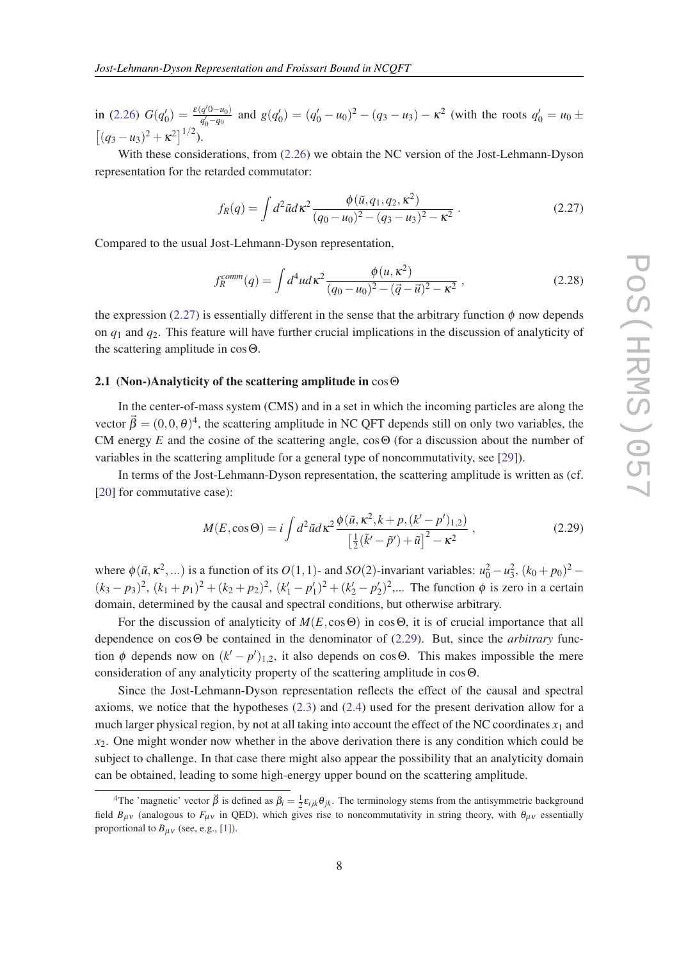<span id="page-7-0"></span>in ([2.26\)](#page-6-0)  $G(q'_0) = \frac{\varepsilon(q'0-u_0)}{q'_0-q_0}$  $\frac{q^{(0)-u_0}}{q_0'-q_0}$  and  $g(q'_0) = (q'_0-u_0)^2 - (q_3-u_3) - \kappa^2$  (with the roots  $q'_0 = u_0 \pm \kappa$  $[(q_3 - u_3)^2 + \kappa^2]^{1/2}$ .

With these considerations, from ([2.26\)](#page-6-0) we obtain the NC version of the Jost-Lehmann-Dyson representation for the retarded commutator:

$$
f_R(q) = \int d^2 \tilde{u} d\kappa^2 \frac{\phi(\tilde{u}, q_1, q_2, \kappa^2)}{(q_0 - u_0)^2 - (q_3 - u_3)^2 - \kappa^2} \,. \tag{2.27}
$$

Compared to the usual Jost-Lehmann-Dyson representation,

$$
f_R^{comm}(q) = \int d^4u d\kappa^2 \frac{\phi(u, \kappa^2)}{(q_0 - u_0)^2 - (\vec{q} - \vec{u})^2 - \kappa^2},
$$
\n(2.28)

the expression (2.27) is essentially different in the sense that the arbitrary function  $\phi$  now depends on *q*<sup>1</sup> and *q*2. This feature will have further crucial implications in the discussion of analyticity of the scattering amplitude in cosΘ.

## 2.1 (Non-)Analyticity of the scattering amplitude in cos **☉**

In the center-of-mass system (CMS) and in a set in which the incoming particles are along the vector  $\vec{\beta} = (0,0,\theta)^4$ , the scattering amplitude in NC QFT depends still on only two variables, the CM energy  $E$  and the cosine of the scattering angle,  $\cos \Theta$  (for a discussion about the number of variables in the scattering amplitude for a general type of noncommutativity, see [[29\]](#page-13-0)).

In terms of the Jost-Lehmann-Dyson representation, the scattering amplitude is written as (cf. [[20\]](#page-13-0) for commutative case):

$$
M(E, \cos \Theta) = i \int d^2 \tilde{u} d\kappa^2 \frac{\phi(\tilde{u}, \kappa^2, k + p, (k' - p')_{1,2})}{\left[\frac{1}{2}(\tilde{k}' - \tilde{p}') + \tilde{u}\right]^2 - \kappa^2},
$$
\n(2.29)

where  $\phi(\tilde{u}, \kappa^2, \ldots)$  is a function of its  $O(1, 1)$ - and  $SO(2)$ -invariant variables:  $u_0^2 - u_3^2$ ,  $(k_0 + p_0)^2$  - $(k_3 - p_3)^2$ ,  $(k_1 + p_1)^2 + (k_2 + p_2)^2$ ,  $(k'_1 - p'_1)^2 + (k'_2 - p'_2)^2$ ,... The function  $\phi$  is zero in a certain domain, determined by the causal and spectral conditions, but otherwise arbitrary.

For the discussion of analyticity of  $M(E, \cos \Theta)$  in  $\cos \Theta$ , it is of crucial importance that all dependence on cosΘ be contained in the denominator of (2.29). But, since the *arbitrary* function  $\phi$  depends now on  $(k'-p')_{1,2}$ , it also depends on cosΘ. This makes impossible the mere consideration of any analyticity property of the scattering amplitude in cosΘ.

Since the Jost-Lehmann-Dyson representation reflects the effect of the causal and spectral axioms, we notice that the hypotheses [\(2.3\)](#page-3-0) and ([2.4](#page-3-0)) used for the present derivation allow for a much larger physical region, by not at all taking into account the effect of the NC coordinates  $x_1$  and *x*2. One might wonder now whether in the above derivation there is any condition which could be subject to challenge. In that case there might also appear the possibility that an analyticity domain can be obtained, leading to some high-energy upper bound on the scattering amplitude.

<sup>&</sup>lt;sup>4</sup>The 'magnetic' vector  $\vec{\beta}$  is defined as  $\beta_i = \frac{1}{2} \varepsilon_{ijk} \theta_{jk}$ . The terminology stems from the antisymmetric background field  $B_{\mu\nu}$  (analogous to  $F_{\mu\nu}$  in QED), which gives rise to noncommutativity in string theory, with  $\theta_{\mu\nu}$  essentially proportional to  $B_{\mu\nu}$  (see, e.g., [[1](#page-12-0)]).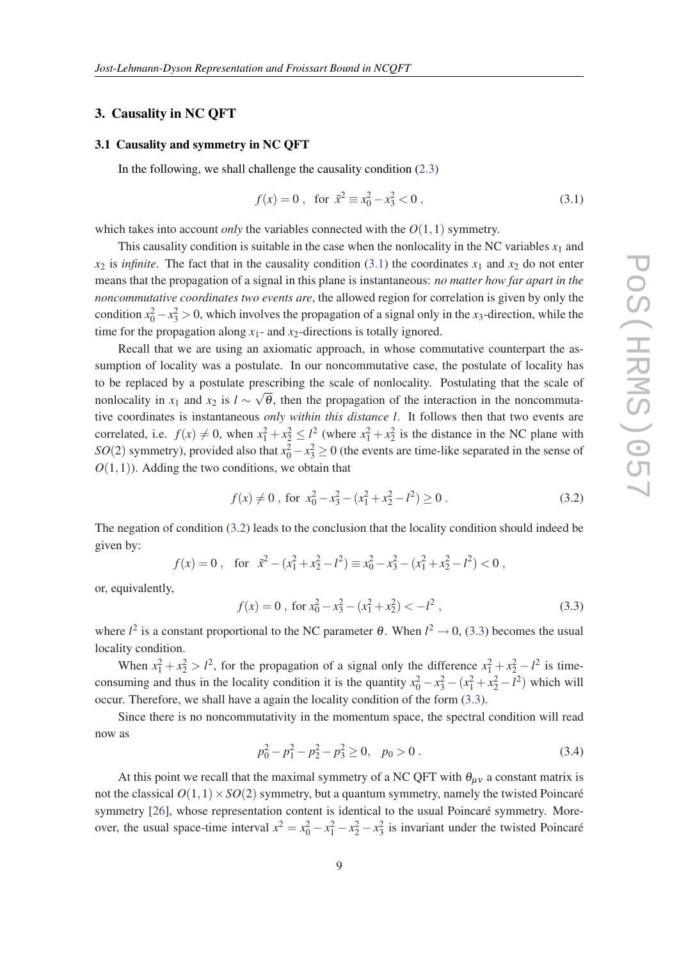## <span id="page-8-0"></span>3. Causality in NC QFT

#### 3.1 Causality and symmetry in NC QFT

In the following, we shall challenge the causality condition  $(2.3)$  $(2.3)$  $(2.3)$ 

$$
f(x) = 0, \text{ for } \tilde{x}^2 \equiv x_0^2 - x_3^2 < 0,
$$
 (3.1)

which takes into account *only* the variables connected with the  $O(1,1)$  symmetry.

This causality condition is suitable in the case when the nonlocality in the NC variables  $x_1$  and  $x_2$  is *infinite*. The fact that in the causality condition (3.1) the coordinates  $x_1$  and  $x_2$  do not enter means that the propagation of a signal in this plane is instantaneous: *no matter how far apart in the noncommutative coordinates two events are*, the allowed region for correlation is given by only the condition  $x_0^2 - x_3^2 > 0$ , which involves the propagation of a signal only in the *x*<sub>3</sub>-direction, while the time for the propagation along  $x_1$ - and  $x_2$ -directions is totally ignored.

Recall that we are using an axiomatic approach, in whose commutative counterpart the assumption of locality was a postulate. In our noncommutative case, the postulate of locality has to be replaced by a postulate prescribing the scale of nonlocality. Postulating that the scale of nonlocality in  $x_1$  and  $x_2$  is  $l \sim \sqrt{\theta}$ , then the propagation of the interaction in the noncommutative coordinates is instantaneous *only within this distance l*. It follows then that two events are correlated, i.e.  $f(x) \neq 0$ , when  $x_1^2 + x_2^2 \leq l^2$  (where  $x_1^2 + x_2^2$  is the distance in the NC plane with *SO*(2) symmetry), provided also that  $x_0^2 - x_3^2 \ge 0$  (the events are time-like separated in the sense of  $O(1,1)$ ). Adding the two conditions, we obtain that

$$
f(x) \neq 0 \text{, for } x_0^2 - x_3^2 - (x_1^2 + x_2^2 - l^2) \geq 0 \tag{3.2}
$$

The negation of condition (3.2) leads to the conclusion that the locality condition should indeed be given by:

$$
f(x) = 0
$$
, for  $\tilde{x}^2 - (x_1^2 + x_2^2 - l^2) \equiv x_0^2 - x_3^2 - (x_1^2 + x_2^2 - l^2) < 0$ ,

or, equivalently,

$$
f(x) = 0, \text{ for } x_0^2 - x_3^2 - (x_1^2 + x_2^2) < -l^2 \,, \tag{3.3}
$$

where  $l^2$  is a constant proportional to the NC parameter  $\theta$ . When  $l^2 \to 0$ , (3.3) becomes the usual locality condition.

When  $x_1^2 + x_2^2 > l^2$ , for the propagation of a signal only the difference  $x_1^2 + x_2^2 - l^2$  is timeconsuming and thus in the locality condition it is the quantity  $x_0^2 - x_3^2 - (x_1^2 + x_2^2 - l^2)$  which will occur. Therefore, we shall have a again the locality condition of the form (3.3).

Since there is no noncommutativity in the momentum space, the spectral condition will read now as

$$
p_0^2 - p_1^2 - p_2^2 - p_3^2 \ge 0, \quad p_0 > 0.
$$
 (3.4)

At this point we recall that the maximal symmetry of a NC QFT with  $\theta_{\mu\nu}$  a constant matrix is not the classical  $O(1,1) \times SO(2)$  symmetry, but a quantum symmetry, namely the twisted Poincaré symmetry [[26\]](#page-13-0), whose representation content is identical to the usual Poincaré symmetry. Moreover, the usual space-time interval  $x^2 = x_0^2 - x_1^2 - x_2^2 - x_3^2$  is invariant under the twisted Poincaré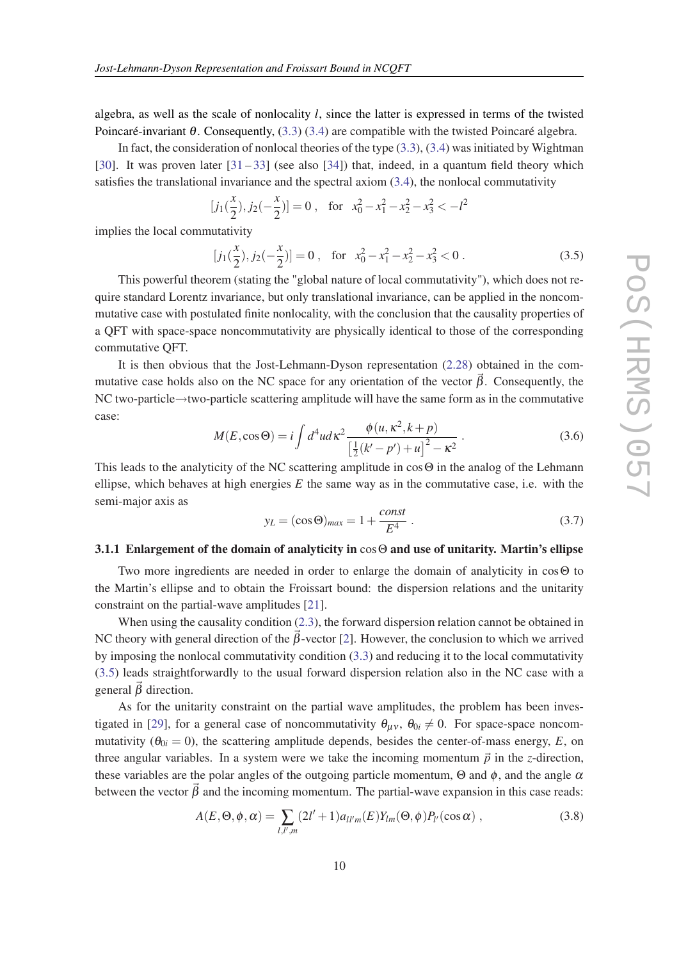<span id="page-9-0"></span>algebra, as well as the scale of nonlocality *l*, since the latter is expressed in terms of the twisted Poincaré-invariant  $\theta$ . Consequently, [\(3.3](#page-8-0)) ([3.4\)](#page-8-0) are compatible with the twisted Poincaré algebra.

In fact, the consideration of nonlocal theories of the type  $(3.3)$ ,  $(3.4)$  was initiated by Wightman [[30\]](#page-13-0). It was proven later  $[31-33]$  $[31-33]$  $[31-33]$  $[31-33]$  (see also [[34\]](#page-14-0)) that, indeed, in a quantum field theory which satisfies the translational invariance and the spectral axiom  $(3.4)$  $(3.4)$  $(3.4)$ , the nonlocal commutativity

$$
[j_1(\frac{x}{2}), j_2(-\frac{x}{2})] = 0
$$
, for  $x_0^2 - x_1^2 - x_2^2 - x_3^2 < -l^2$ 

implies the local commutativity

$$
[j_1(\frac{x}{2}), j_2(-\frac{x}{2})] = 0, \text{ for } x_0^2 - x_1^2 - x_2^2 - x_3^2 < 0.
$$
 (3.5)

This powerful theorem (stating the "global nature of local commutativity"), which does not require standard Lorentz invariance, but only translational invariance, can be applied in the noncommutative case with postulated finite nonlocality, with the conclusion that the causality properties of a QFT with space-space noncommutativity are physically identical to those of the corresponding commutative QFT.

It is then obvious that the Jost-Lehmann-Dyson representation ([2.28\)](#page-7-0) obtained in the commutative case holds also on the NC space for any orientation of the vector  $\beta$ . Consequently, the NC two-particle→two-particle scattering amplitude will have the same form as in the commutative case:

$$
M(E, \cos \Theta) = i \int d^4 u \, d\kappa^2 \frac{\phi(u, \kappa^2, k + p)}{\left[\frac{1}{2}(k' - p') + u\right]^2 - \kappa^2} \,. \tag{3.6}
$$

This leads to the analyticity of the NC scattering amplitude in cosΘ in the analog of the Lehmann ellipse, which behaves at high energies  $E$  the same way as in the commutative case, i.e. with the semi-major axis as

$$
y_L = (\cos \Theta)_{max} = 1 + \frac{const}{E^4} \tag{3.7}
$$

#### 3.1.1 Enlargement of the domain of analyticity in cosΘ and use of unitarity. Martin's ellipse

Two more ingredients are needed in order to enlarge the domain of analyticity in cosΘ to the Martin's ellipse and to obtain the Froissart bound: the dispersion relations and the unitarity constraint on the partial-wave amplitudes [[21\]](#page-13-0).

When using the causality condition ([2.3\)](#page-3-0), the forward dispersion relation cannot be obtained in NC theory with general direction of the  $\vec{\beta}$ -vector [\[2\]](#page-12-0). However, the conclusion to which we arrived by imposing the nonlocal commutativity condition ([3.3](#page-8-0)) and reducing it to the local commutativity (3.5) leads straightforwardly to the usual forward dispersion relation also in the NC case with a general  $\vec{\beta}$  direction.

As for the unitarity constraint on the partial wave amplitudes, the problem has been inves-tigated in [[29\]](#page-13-0), for a general case of noncommutativity  $\theta_{\mu\nu}$ ,  $\theta_{0i} \neq 0$ . For space-space noncommutativity ( $\theta_{0i} = 0$ ), the scattering amplitude depends, besides the center-of-mass energy, *E*, on three angular variables. In a system were we take the incoming momentum  $\vec{p}$  in the *z*-direction, these variables are the polar angles of the outgoing particle momentum,  $\Theta$  and  $\phi$ , and the angle  $\alpha$ between the vector  $\vec{\beta}$  and the incoming momentum. The partial-wave expansion in this case reads:

$$
A(E,\Theta,\phi,\alpha) = \sum_{l,l',m} (2l'+1)a_{ll'm}(E)Y_{lm}(\Theta,\phi)P_{l'}(\cos\alpha) ,
$$
 (3.8)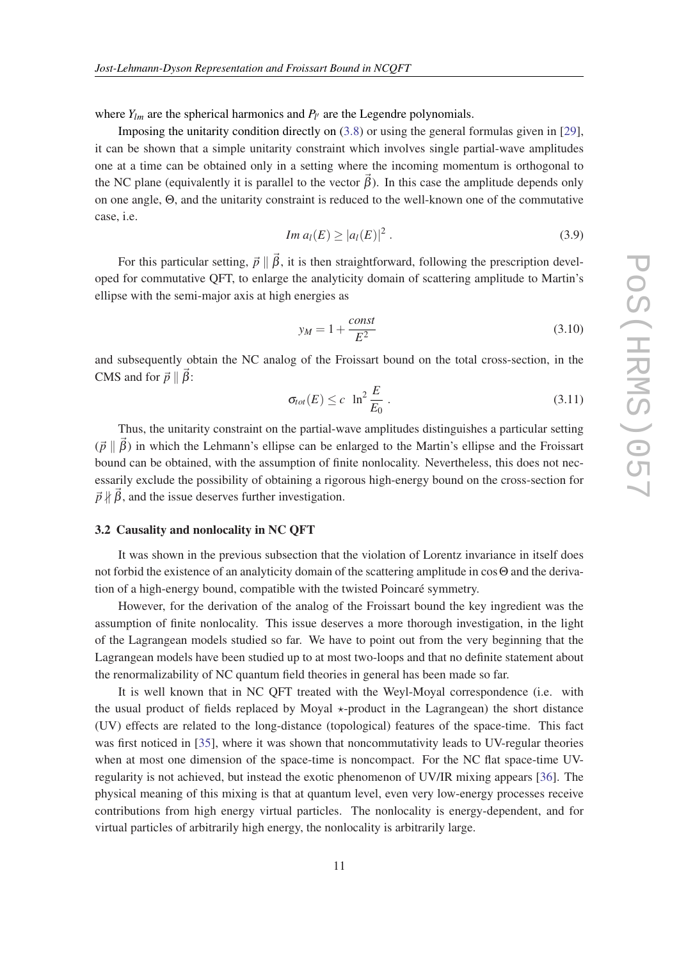<span id="page-10-0"></span>where  $Y_{lm}$  are the spherical harmonics and  $P_{l'}$  are the Legendre polynomials.

Imposing the unitarity condition directly on ([3.8](#page-9-0)) or using the general formulas given in [[29\]](#page-13-0), it can be shown that a simple unitarity constraint which involves single partial-wave amplitudes one at a time can be obtained only in a setting where the incoming momentum is orthogonal to the NC plane (equivalently it is parallel to the vector  $\vec{\beta}$ ). In this case the amplitude depends only on one angle, Θ, and the unitarity constraint is reduced to the well-known one of the commutative case, i.e.

$$
Im\ a_l(E) \geq |a_l(E)|^2 \ . \tag{3.9}
$$

For this particular setting,  $\vec{p} \parallel \vec{\beta}$ , it is then straightforward, following the prescription developed for commutative QFT, to enlarge the analyticity domain of scattering amplitude to Martin's ellipse with the semi-major axis at high energies as

$$
y_M = 1 + \frac{const}{E^2} \tag{3.10}
$$

and subsequently obtain the NC analog of the Froissart bound on the total cross-section, in the CMS and for  $\vec{p} \parallel \vec{\beta}$ :

$$
\sigma_{tot}(E) \le c \ \ln^2 \frac{E}{E_0} \,. \tag{3.11}
$$

Thus, the unitarity constraint on the partial-wave amplitudes distinguishes a particular setting  $(\vec{p} \parallel \vec{\beta})$  in which the Lehmann's ellipse can be enlarged to the Martin's ellipse and the Froissart bound can be obtained, with the assumption of finite nonlocality. Nevertheless, this does not necessarily exclude the possibility of obtaining a rigorous high-energy bound on the cross-section for  $\vec{p} \nparallel \vec{\beta}$ , and the issue deserves further investigation.

## 3.2 Causality and nonlocality in NC QFT

It was shown in the previous subsection that the violation of Lorentz invariance in itself does not forbid the existence of an analyticity domain of the scattering amplitude in cosΘ and the derivation of a high-energy bound, compatible with the twisted Poincaré symmetry.

However, for the derivation of the analog of the Froissart bound the key ingredient was the assumption of finite nonlocality. This issue deserves a more thorough investigation, in the light of the Lagrangean models studied so far. We have to point out from the very beginning that the Lagrangean models have been studied up to at most two-loops and that no definite statement about the renormalizability of NC quantum field theories in general has been made so far.

It is well known that in NC QFT treated with the Weyl-Moyal correspondence (i.e. with the usual product of fields replaced by Moyal  $\star$ -product in the Lagrangean) the short distance (UV) effects are related to the long-distance (topological) features of the space-time. This fact was first noticed in [\[35](#page-14-0)], where it was shown that noncommutativity leads to UV-regular theories when at most one dimension of the space-time is noncompact. For the NC flat space-time UVregularity is not achieved, but instead the exotic phenomenon of UV/IR mixing appears [[36\]](#page-14-0). The physical meaning of this mixing is that at quantum level, even very low-energy processes receive contributions from high energy virtual particles. The nonlocality is energy-dependent, and for virtual particles of arbitrarily high energy, the nonlocality is arbitrarily large.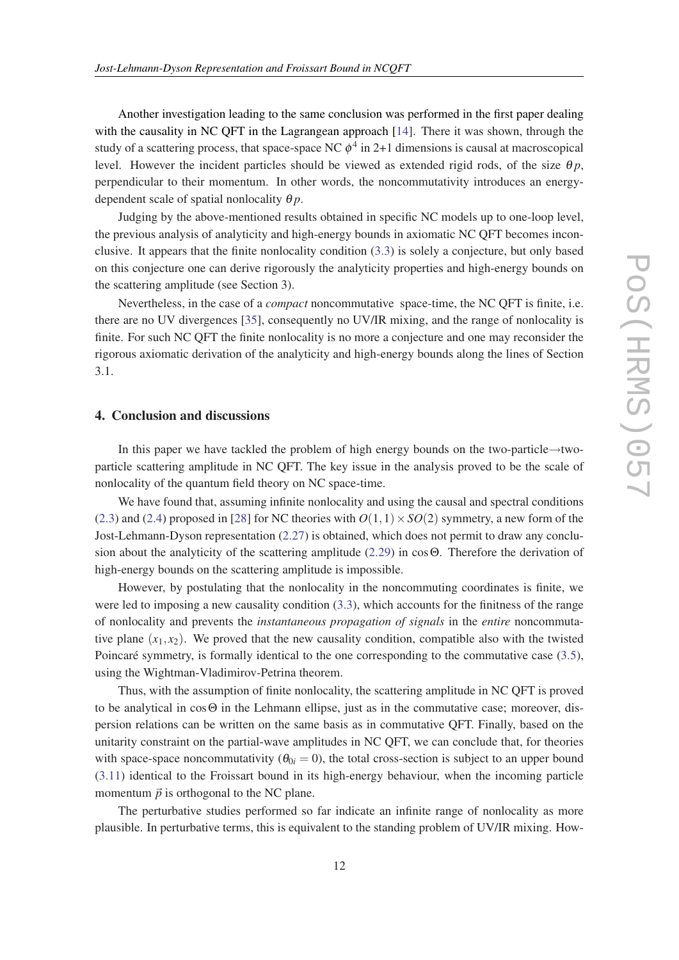Another investigation leading to the same conclusion was performed in the first paper dealing with the causality in NC QFT in the Lagrangean approach [[14](#page-13-0)]. There it was shown, through the study of a scattering process, that space-space NC  $\phi^4$  in 2+1 dimensions is causal at macroscopical level. However the incident particles should be viewed as extended rigid rods, of the size  $\theta_p$ , perpendicular to their momentum. In other words, the noncommutativity introduces an energydependent scale of spatial nonlocality  $\theta p$ .

Judging by the above-mentioned results obtained in specific NC models up to one-loop level, the previous analysis of analyticity and high-energy bounds in axiomatic NC QFT becomes inconclusive. It appears that the finite nonlocality condition ([3.3](#page-8-0)) is solely a conjecture, but only based on this conjecture one can derive rigorously the analyticity properties and high-energy bounds on the scattering amplitude (see Section 3).

Nevertheless, in the case of a *compact* noncommutative space-time, the NC QFT is finite, i.e. there are no UV divergences [[35\]](#page-14-0), consequently no UV/IR mixing, and the range of nonlocality is finite. For such NC QFT the finite nonlocality is no more a conjecture and one may reconsider the rigorous axiomatic derivation of the analyticity and high-energy bounds along the lines of Section 3.1.

## 4. Conclusion and discussions

In this paper we have tackled the problem of high energy bounds on the two-particle→twoparticle scattering amplitude in NC QFT. The key issue in the analysis proved to be the scale of nonlocality of the quantum field theory on NC space-time.

We have found that, assuming infinite nonlocality and using the causal and spectral conditions ([2.3\)](#page-3-0) and ([2.4](#page-3-0)) proposed in [[28\]](#page-13-0) for NC theories with  $O(1,1) \times SO(2)$  symmetry, a new form of the Jost-Lehmann-Dyson representation ([2.27](#page-7-0)) is obtained, which does not permit to draw any conclusion about the analyticity of the scattering amplitude ([2.29\)](#page-7-0) in cosΘ. Therefore the derivation of high-energy bounds on the scattering amplitude is impossible.

However, by postulating that the nonlocality in the noncommuting coordinates is finite, we were led to imposing a new causality condition ([3.3](#page-8-0)), which accounts for the finitness of the range of nonlocality and prevents the *instantaneous propagation of signals* in the *entire* noncommutative plane  $(x_1, x_2)$ . We proved that the new causality condition, compatible also with the twisted Poincaré symmetry, is formally identical to the one corresponding to the commutative case ([3.5\)](#page-9-0), using the Wightman-Vladimirov-Petrina theorem.

Thus, with the assumption of finite nonlocality, the scattering amplitude in NC QFT is proved to be analytical in cosΘ in the Lehmann ellipse, just as in the commutative case; moreover, dispersion relations can be written on the same basis as in commutative QFT. Finally, based on the unitarity constraint on the partial-wave amplitudes in NC QFT, we can conclude that, for theories with space-space noncommutativity ( $\theta_{0i} = 0$ ), the total cross-section is subject to an upper bound ([3.11](#page-10-0)) identical to the Froissart bound in its high-energy behaviour, when the incoming particle momentum  $\vec{p}$  is orthogonal to the NC plane.

The perturbative studies performed so far indicate an infinite range of nonlocality as more plausible. In perturbative terms, this is equivalent to the standing problem of UV/IR mixing. How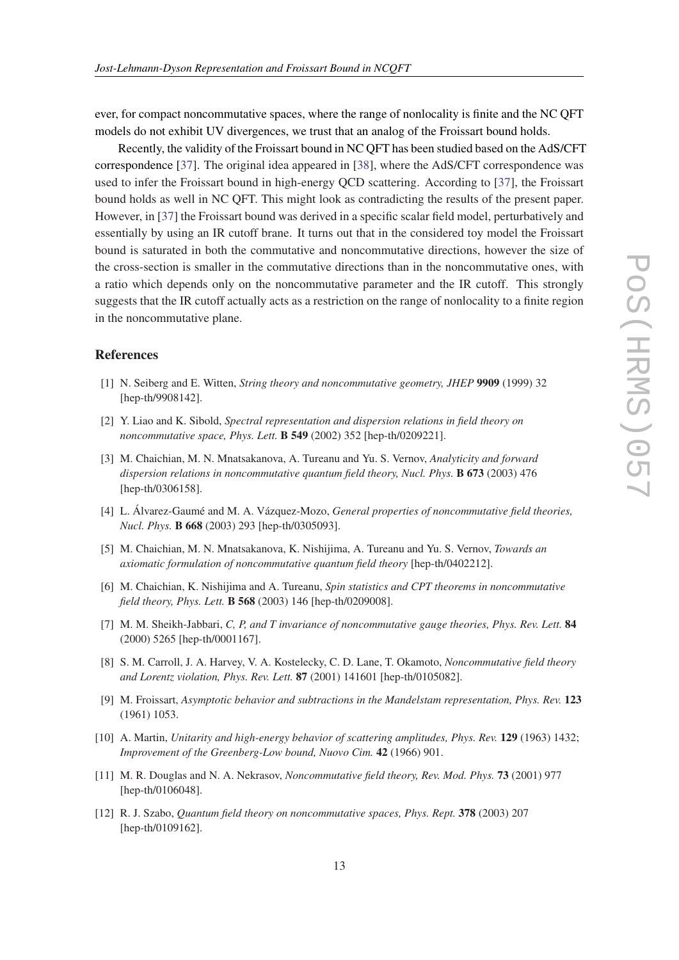<span id="page-12-0"></span>ever, for compact noncommutative spaces, where the range of nonlocality is finite and the NC QFT models do not exhibit UV divergences, we trust that an analog of the Froissart bound holds.

Recently, the validity of the Froissart bound in NC QFT has been studied based on the AdS/CFT correspondence [\[37](#page-14-0)]. The original idea appeared in [\[38](#page-14-0)], where the AdS/CFT correspondence was used to infer the Froissart bound in high-energy QCD scattering. According to [[37\]](#page-14-0), the Froissart bound holds as well in NC QFT. This might look as contradicting the results of the present paper. However, in [[37\]](#page-14-0) the Froissart bound was derived in a specific scalar field model, perturbatively and essentially by using an IR cutoff brane. It turns out that in the considered toy model the Froissart bound is saturated in both the commutative and noncommutative directions, however the size of the cross-section is smaller in the commutative directions than in the noncommutative ones, with a ratio which depends only on the noncommutative parameter and the IR cutoff. This strongly suggests that the IR cutoff actually acts as a restriction on the range of nonlocality to a finite region in the noncommutative plane.

## References

- [1] N. Seiberg and E. Witten, *String theory and noncommutative geometry, JHEP* 9909 (1999) 32 [hep-th/9908142].
- [2] Y. Liao and K. Sibold, *Spectral representation and dispersion relations in field theory on noncommutative space, Phys. Lett.* B 549 (2002) 352 [hep-th/0209221].
- [3] M. Chaichian, M. N. Mnatsakanova, A. Tureanu and Yu. S. Vernov, *Analyticity and forward dispersion relations in noncommutative quantum field theory, Nucl. Phys.* B 673 (2003) 476 [hep-th/0306158].
- [4] L. Álvarez-Gaumé and M. A. Vázquez-Mozo, *General properties of noncommutative field theories, Nucl. Phys.* B 668 (2003) 293 [hep-th/0305093].
- [5] M. Chaichian, M. N. Mnatsakanova, K. Nishijima, A. Tureanu and Yu. S. Vernov, *Towards an axiomatic formulation of noncommutative quantum field theory* [hep-th/0402212].
- [6] M. Chaichian, K. Nishijima and A. Tureanu, *Spin statistics and CPT theorems in noncommutative field theory, Phys. Lett.* B 568 (2003) 146 [hep-th/0209008].
- [7] M. M. Sheikh-Jabbari, *C, P, and T invariance of noncommutative gauge theories, Phys. Rev. Lett.* 84 (2000) 5265 [hep-th/0001167].
- [8] S. M. Carroll, J. A. Harvey, V. A. Kostelecky, C. D. Lane, T. Okamoto, *Noncommutative field theory and Lorentz violation, Phys. Rev. Lett.* 87 (2001) 141601 [hep-th/0105082].
- [9] M. Froissart, *Asymptotic behavior and subtractions in the Mandelstam representation, Phys. Rev.* 123 (1961) 1053.
- [10] A. Martin, *Unitarity and high-energy behavior of scattering amplitudes, Phys. Rev.* 129 (1963) 1432; *Improvement of the Greenberg-Low bound, Nuovo Cim.* 42 (1966) 901.
- [11] M. R. Douglas and N. A. Nekrasov, *Noncommutative field theory, Rev. Mod. Phys.* 73 (2001) 977 [hep-th/0106048].
- [12] R. J. Szabo, *Quantum field theory on noncommutative spaces, Phys. Rept.* 378 (2003) 207 [hep-th/0109162].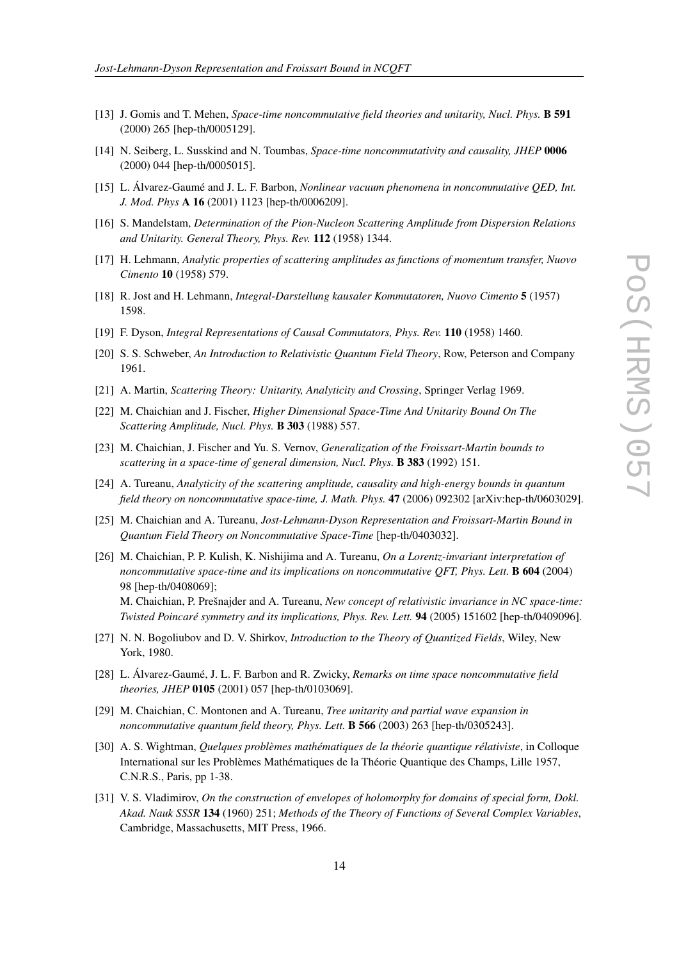- <span id="page-13-0"></span>[13] J. Gomis and T. Mehen, *Space-time noncommutative field theories and unitarity, Nucl. Phys.* B 591 (2000) 265 [hep-th/0005129].
- [14] N. Seiberg, L. Susskind and N. Toumbas, *Space-time noncommutativity and causality, JHEP* 0006 (2000) 044 [hep-th/0005015].
- [15] L. Álvarez-Gaumé and J. L. F. Barbon, *Nonlinear vacuum phenomena in noncommutative QED, Int. J. Mod. Phys* A 16 (2001) 1123 [hep-th/0006209].
- [16] S. Mandelstam, *Determination of the Pion-Nucleon Scattering Amplitude from Dispersion Relations and Unitarity. General Theory, Phys. Rev.* 112 (1958) 1344.
- [17] H. Lehmann, *Analytic properties of scattering amplitudes as functions of momentum transfer, Nuovo Cimento* 10 (1958) 579.
- [18] R. Jost and H. Lehmann, *Integral-Darstellung kausaler Kommutatoren, Nuovo Cimento* 5 (1957) 1598.
- [19] F. Dyson, *Integral Representations of Causal Commutators, Phys. Rev.* 110 (1958) 1460.
- [20] S. S. Schweber, *An Introduction to Relativistic Quantum Field Theory*, Row, Peterson and Company 1961.
- [21] A. Martin, *Scattering Theory: Unitarity, Analyticity and Crossing*, Springer Verlag 1969.
- [22] M. Chaichian and J. Fischer, *Higher Dimensional Space-Time And Unitarity Bound On The Scattering Amplitude, Nucl. Phys.* B 303 (1988) 557.
- [23] M. Chaichian, J. Fischer and Yu. S. Vernov, *Generalization of the Froissart-Martin bounds to scattering in a space-time of general dimension, Nucl. Phys.* B 383 (1992) 151.
- [24] A. Tureanu, *Analyticity of the scattering amplitude, causality and high-energy bounds in quantum field theory on noncommutative space-time, J. Math. Phys.* 47 (2006) 092302 [arXiv:hep-th/0603029].
- [25] M. Chaichian and A. Tureanu, *Jost-Lehmann-Dyson Representation and Froissart-Martin Bound in Quantum Field Theory on Noncommutative Space-Time* [hep-th/0403032].
- [26] M. Chaichian, P. P. Kulish, K. Nishijima and A. Tureanu, *On a Lorentz-invariant interpretation of noncommutative space-time and its implications on noncommutative QFT, Phys. Lett.* B 604 (2004) 98 [hep-th/0408069]; M. Chaichian, P. Prešnajder and A. Tureanu, *New concept of relativistic invariance in NC space-time: Twisted Poincaré symmetry and its implications, Phys. Rev. Lett.* 94 (2005) 151602 [hep-th/0409096].
- [27] N. N. Bogoliubov and D. V. Shirkov, *Introduction to the Theory of Quantized Fields*, Wiley, New York, 1980.
- [28] L. Álvarez-Gaumé, J. L. F. Barbon and R. Zwicky, *Remarks on time space noncommutative field theories, JHEP* 0105 (2001) 057 [hep-th/0103069].
- [29] M. Chaichian, C. Montonen and A. Tureanu, *Tree unitarity and partial wave expansion in noncommutative quantum field theory, Phys. Lett.* B 566 (2003) 263 [hep-th/0305243].
- [30] A. S. Wightman, *Quelques problèmes mathématiques de la théorie quantique rélativiste*, in Colloque International sur les Problèmes Mathématiques de la Théorie Quantique des Champs, Lille 1957, C.N.R.S., Paris, pp 1-38.
- [31] V. S. Vladimirov, *On the construction of envelopes of holomorphy for domains of special form, Dokl. Akad. Nauk SSSR* 134 (1960) 251; *Methods of the Theory of Functions of Several Complex Variables*, Cambridge, Massachusetts, MIT Press, 1966.